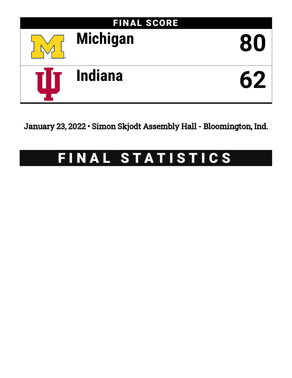

January 23, 2022 • Simon Skjodt Assembly Hall - Bloomington, Ind.

# FINAL STATISTICS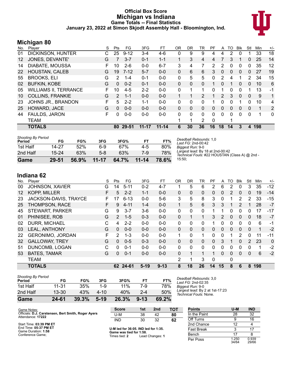#### **Official Box Score Michigan vs Indiana Game Totals -- Final Statistics January 23, 2022 at Simon Skjodt Assembly Hall - Bloomington, Ind.**



# **Michigan 80**

| No. | Plaver                       | S | Pts      | FG        | 3FG       | FT        | <b>OR</b> | DR           | TR             | PF       | A        | TO           | Blk          | Stl          | Min | $+/-$          |
|-----|------------------------------|---|----------|-----------|-----------|-----------|-----------|--------------|----------------|----------|----------|--------------|--------------|--------------|-----|----------------|
| 01  | <b>DICKINSON, HUNTER</b>     | С | 25       | $9 - 12$  | $3 - 4$   | 4-6       | 0         | 9            | 9              | 4        | 4        | 2            | $\Omega$     | 1            | 33  | 18             |
| 12  | JONES, DEVANTE'              | G | 7        | $3 - 7$   | $0 - 1$   | $1 - 1$   |           | 3            | $\overline{4}$ | 4        | 7        | 3            |              | 0            | 25  | 14             |
| 14  | DIABATE, MOUSSA              | F | 10       | $2 - 6$   | $0 - 0$   | $6 - 7$   | 3         | 4            | 7              | 2        | 2        | 0            | $\mathbf{0}$ | 0            | 35  | 12             |
| 22  | <b>HOUSTAN, CALEB</b>        | G | 19       | $7 - 12$  | $5 - 7$   | $0 - 0$   | 0         | 6            | 6              | 3        | 0        | 0            | $\mathbf{0}$ | $\mathbf{0}$ | 27  | 19             |
| 55  | <b>BROOKS, ELI</b>           | G | 2        | $1 - 4$   | $0 - 1$   | $0 - 0$   | 0         | 5            | 5              | 0        | 2        | 4            |              | 2            | 34  | 15             |
| 02  | <b>BUFKIN, KOBE</b>          | G | $\Omega$ | $0 - 2$   | $0 - 1$   | $0 - 0$   | 0         | $\Omega$     | 0              | 1.       | $\Omega$ |              | $\Omega$     | $\mathbf{0}$ | 10  | 6              |
| 05  | <b>WILLIAMS II, TERRANCE</b> | F | 10       | $4 - 5$   | $2 - 2$   | $0 - 0$   | 0         | 1            | 1              | 0        | 1        | 0            | $\Omega$     | 1            | 13  | -1             |
| 10  | <b>COLLINS, FRANKIE</b>      | G | 2        | $1 - 1$   | $0 - 0$   | $0 - 0$   |           |              | 2              |          | 2        | 3            | $\mathbf{0}$ | $\mathbf{0}$ | 9   | 1              |
| 23  | <b>JOHNS JR., BRANDON</b>    | F | 5        | $2 - 2$   | $1 - 1$   | $0 - 0$   | 0         | $\Omega$     | 0              | 1        | 0        | 0            |              | 0            | 10  | 4              |
| 25  | HOWARD, JACE                 | G | $\Omega$ | $0 - 0$   | $0 - 0$   | $0 - 0$   | 0         | $\Omega$     | $\Omega$       | $\Omega$ | $\Omega$ | $\Omega$     | $\Omega$     | 0            | 1   | $\overline{2}$ |
| 44  | FAULDS, JARON                | F | $\Omega$ | $0 - 0$   | $0 - 0$   | $0 - 0$   | 0         | $\mathbf{0}$ | 0              | $\Omega$ | $\Omega$ | $\mathbf{0}$ | $\Omega$     | 0            | 1   | 0              |
|     | <b>TEAM</b>                  |   |          |           |           |           |           | 1            | 2              | $\Omega$ |          |              |              |              |     |                |
|     | <b>TOTALS</b>                |   | 80       | $29 - 51$ | $11 - 17$ | $11 - 14$ | 6         | 30           | 36             | 16       | 18       | 14           | 3            | 4            | 198 |                |
|     |                              |   |          |           |           |           |           |              |                |          |          |              |              |              |     |                |

| Game                                | 29-51 | 56.9% | $11 - 17$ | 64.7% | $11 - 14$ | 78.6% | 1 |
|-------------------------------------|-------|-------|-----------|-------|-----------|-------|---|
| 2nd Half                            | 15-24 | 63%   | $5-8$     | 63%   | 7-9       | 78%   |   |
| 1st Half                            | 14-27 | 52%   | 6-9       | 67%   | $4-5$     | 80%   |   |
| <b>Shooting By Period</b><br>Period | FG    | FG%   | 3FG       | 3FG%  | FT        | FT%   |   |

*Deadball Rebounds:* 1,0 *Last FG:* 2nd-00:42 *Biggest Run:* 9-0 *Largest lead:* By 18 at 2nd-00:42 *Technical Fouls:* #22 HOUSTAN (Class A) @ 2nd - 15:50;

# **Indiana 62**

Conference Game;

| No. | Player                  | S  | Pts           | FG.      | 3FG      | FT       | 0R       | DR       | TR           | PF           | A        | TO             | <b>B</b> lk  | Stl      | Min | $+/-$    |
|-----|-------------------------|----|---------------|----------|----------|----------|----------|----------|--------------|--------------|----------|----------------|--------------|----------|-----|----------|
| 00  | <b>JOHNSON, XAVIER</b>  | G  | 14            | $5 - 11$ | $0 - 2$  | $4 - 7$  |          | 5        | 6            | 2            | 6        | 2              | 0            | 3        | 35  | $-12$    |
| 12  | <b>KOPP, MILLER</b>     | F  | 5             | $2 - 2$  | $1 - 1$  | $0 - 0$  | 0        | 0        | $\mathbf{0}$ | $\mathbf{0}$ | 0        | $\overline{2}$ | $\mathbf{0}$ | 0        | 19  | $-14$    |
| 23  | JACKSON-DAVIS, TRAYCE   | F  | 7             | $6 - 13$ | $0 - 0$  | $5-6$    | 3        | 5        | 8            | 3            | 0        | 1              | 2            | 2        | 33  | $-15$    |
| 25  | <b>THOMPSON, RACE</b>   |    | 9             | $4 - 11$ | $1 - 4$  | $0 - 0$  | 1.       | 5        | 6            | 3            | 3        |                | 2            |          | 28  | $-7$     |
| 45  | STEWART, PARKER         | G  | 9             | $3 - 7$  | $3-6$    | $0 - 0$  | 0        | 0        | $\mathbf{0}$ |              |          | 0              | 0            | 0        | 17  | -17      |
| 01  | PHINISEE, ROB           | G  | $\mathcal{P}$ | $1 - 5$  | $0 - 3$  | $0 - 0$  | 0        |          |              | 3            | 2        | 0              | $\mathbf{0}$ | 0        | 18  | $-7$     |
| 02  | <b>DURR, MICHAEL</b>    | С  | 4             | $2 - 2$  | $0 - 0$  | $0 - 0$  | 0        | 0        | $\Omega$     |              | 0        | 0              | $\Omega$     | 0        | 6   | $-1$     |
| 03  | <b>LEAL, ANTHONY</b>    | G  | $\Omega$      | $0 - 0$  | $0 - 0$  | $0 - 0$  | $\Omega$ | 0        | $\mathbf{0}$ | 0            | 0        | 0              | $\Omega$     | $\Omega$ | 1   | $-2$     |
| 22  | <b>GERONIMO, JORDAN</b> | F. | $\mathcal{P}$ | $1 - 3$  | $0 - 0$  | $0 - 0$  | 1.       | $\Omega$ | 1            | 0            | $\Omega$ | 1              | 2            | $\Omega$ | 11  | $-11$    |
| 32  | <b>GALLOWAY, TREY</b>   | G  | $\Omega$      | $0 - 5$  | $0 - 3$  | $0 - 0$  | 0        | 0        | $\mathbf{0}$ | $\Omega$     | 3        |                | $\Omega$     | 2        | 23  | $\Omega$ |
| 51  | DUNCOMB, LOGAN          | C  | $\Omega$      | $0 - 1$  | $0 - 0$  | $0 - 0$  | $\Omega$ | 0        | $\Omega$     | 0            | $\Omega$ | 0              | $\Omega$     | 0        |     | $-2$     |
| 53  | <b>BATES, TAMAR</b>     | G  | $\Omega$      | $0 - 1$  | $0 - 0$  | $0 - 0$  | 0        |          |              |              | $\Omega$ | 0              | $\Omega$     | 0        | 6   | $-2$     |
|     | <b>TEAM</b>             |    |               |          |          |          | 2        |          | 3            | $\Omega$     |          | 0              |              |          |     |          |
|     | <b>TOTALS</b>           |    |               | 62 24-61 | $5 - 19$ | $9 - 13$ | 8        | 18       | 26           | 14           | 15       | 8              | 6            | 8        | 198 |          |

| Game                                | 24-61     | 39.3% | $5-19$ | 26.3% | $9 - 13$ | 69.2% |          |
|-------------------------------------|-----------|-------|--------|-------|----------|-------|----------|
| 2nd Half                            | $13 - 30$ | 43%   | 4-10   | 40%   | $2 - 4$  | 50%   | La<br>Te |
| 1st Half                            | $11 - 31$ | 35%   | 1-9    | 11%   | 7-9      | 78%   | Bi       |
| <b>Shooting By Period</b><br>Period | FG        | FG%   | 3FG    | 3FG%  | FT       | FT%   | De<br>La |

*Deadball Rebounds:* 3,0 *Last FG:* 2nd-02:35 *Biggest Run:* 9-0 *Largest lead:* By 2 at 1st-17:23 *Technical Fouls:* None.

| Game Notes:                                                              | Score                                                          | 1st | 2nd | тот | <b>Points</b>     | U-M        | <b>IND</b> |
|--------------------------------------------------------------------------|----------------------------------------------------------------|-----|-----|-----|-------------------|------------|------------|
| Officials: D.J. Carstensen, Bert Smith, Roger Ayers<br>Attendance: 17222 | U-M                                                            | 38  | 42  | 80  | In the Paint      | 28         | 32         |
|                                                                          | IND                                                            | 30  | 32  | 62  | Off Turns         |            | 16         |
| Start Time: 03:39 PM ET                                                  |                                                                |     |     |     | 2nd Chance        |            |            |
| End Time: 05:37 PM ET<br>Game Duration: 1:58                             | U-M led for 36:05. IND led for 1:35.<br>Game was tied for 1:58 |     |     |     | <b>Fast Break</b> |            |            |
|                                                                          |                                                                |     |     |     |                   | $\sim$ $-$ |            |

**Game was tied for 1:58.** Times tied: **2** Lead Changes: **1**

| rums         | U-M            | שוו            |
|--------------|----------------|----------------|
| In the Paint | 28             | 32             |
| Off Turns    | 9              | 16             |
| 2nd Chance   | 12             |                |
| Fast Break   | 3              | 17             |
| Bench        | 17             | 8              |
| Per Poss     | 1.250<br>34/64 | 0.939<br>29/66 |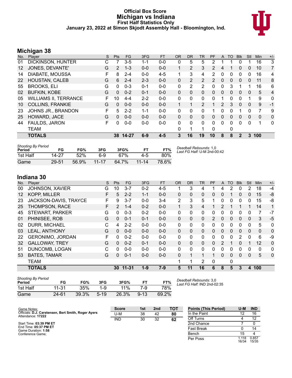#### **Official Box Score Michigan vs Indiana First Half Statistics Only January 23, 2022 at Simon Skjodt Assembly Hall - Bloomington, Ind.**



# **Michigan 38**

| No. | ີ<br>Player                  | S | <b>Pts</b> | <b>FG</b> | 3FG     | <b>FT</b> | <b>OR</b>    | <b>DR</b> | TR             | <b>PF</b>      | A              | TO           | <b>Blk</b>   | Stl          | Min          | $+/-$ |
|-----|------------------------------|---|------------|-----------|---------|-----------|--------------|-----------|----------------|----------------|----------------|--------------|--------------|--------------|--------------|-------|
| 01  | DICKINSON, HUNTER            | С |            | $3 - 5$   | 1-1     | $0-0$     | 0            | 5         | 5              | 2              |                |              | 0            |              | 16           | 3     |
| 12  | JONES, DEVANTE'              | G | 2          | $1 - 3$   | $0 - 0$ | $0 - 0$   | $\mathbf{1}$ | 2         | 3              | $\overline{2}$ | 4              |              | 0            | 0            | 10           | 7     |
| 14  | DIABATE, MOUSSA              | F | 8          | $2 - 4$   | $0 - 0$ | $4 - 5$   |              | 3         | 4              | $\overline{2}$ | 0              | 0            | 0            | 0            | 16           | 4     |
| 22  | <b>HOUSTAN, CALEB</b>        | G | 6          | $2 - 4$   | $2 - 3$ | $0 - 0$   | 0            | 2         | $\overline{2}$ | $\overline{2}$ | $\mathbf{0}$   | $\mathbf{0}$ | $\mathbf{0}$ | 0            | 11           | 8     |
| 55  | <b>BROOKS, ELI</b>           | G | 0          | $0 - 3$   | $0 - 1$ | $0 - 0$   | 0            | 2         | $\overline{2}$ | 0              | 0              | 3            |              |              | 16           | 6     |
| 02  | <b>BUFKIN, KOBE</b>          | G | $\Omega$   | $0 - 2$   | $0 - 1$ | $0 - 0$   | $\Omega$     | $\Omega$  | $\Omega$       | 0              | $\Omega$       | $\Omega$     | $\Omega$     | $\mathbf{0}$ | 5            | 4     |
| 05  | <b>WILLIAMS II, TERRANCE</b> | F | 10         | $4 - 4$   | $2 - 2$ | $0 - 0$   | 0            | $\Omega$  | $\Omega$       | 0              | 1              | 0            | $\Omega$     | 1            | 9            | 0     |
| 10  | <b>COLLINS, FRANKIE</b>      | G | $\Omega$   | $0 - 0$   | $0 - 0$ | $0 - 0$   | 1            | 1         | $\overline{2}$ | 1              | $\overline{2}$ | 3            | $\Omega$     | $\Omega$     | 9            | -1    |
| 23  | JOHNS JR., BRANDON           | F | 5          | $2 - 2$   | $1 - 1$ | $0 - 0$   | 0            | 0         | 0              |                | 0              | 0            |              | 0            | 7            | 9     |
| 25  | HOWARD, JACE                 | G | $\Omega$   | $0 - 0$   | $0 - 0$ | $0 - 0$   | $\Omega$     | $\Omega$  | $\mathbf{0}$   | 0              | 0              | $\Omega$     | 0            | $\Omega$     | $\mathbf{0}$ | 0     |
| 44  | <b>FAULDS, JARON</b>         | F | 0          | $0 - 0$   | $0 - 0$ | $0 - 0$   | 0            | 0         | $\Omega$       | 0              | 0              | $\Omega$     | $\Omega$     | $\Omega$     | 1            | 0     |
|     | TEAM                         |   |            |           |         |           | 0            | 1         |                | 0              |                | 0            |              |              |              |       |
|     | <b>TOTALS</b>                |   | 38         | $14 - 27$ | 6-9     | $4 - 5$   | 3            | 16        | 19             | 10             | 8              | 8            | $\mathbf{2}$ | 3            | 100          |       |

| <b>Shooting By Period</b><br>Period | FG    | FG%   | 3FG       | 3FG%  | FТ        | FT%   | Deadball Rebounds: 1,0<br>Last FG Half: U-M 2nd-00:42 |
|-------------------------------------|-------|-------|-----------|-------|-----------|-------|-------------------------------------------------------|
| 1st Half                            | 14-27 | 52%   | հ.9       | 67%   | 4-5       | 80%   |                                                       |
| Game                                | 29-51 | 56.9% | $11 - 17$ | 64.7% | $11 - 14$ | 78.6% |                                                       |

# **Indiana 30**

| No. | Player                  | S  | Pts           | FG        | 3FG     | <b>FT</b> | <b>OR</b>    | <b>DR</b> | <b>TR</b>      | PF | A        | TO | <b>Blk</b>   | Stl      | Min         | $+/-$        |
|-----|-------------------------|----|---------------|-----------|---------|-----------|--------------|-----------|----------------|----|----------|----|--------------|----------|-------------|--------------|
| 00  | <b>JOHNSON, XAVIER</b>  | G  | 10            | $3 - 7$   | $0 - 2$ | $4 - 5$   |              | 3         | 4              |    | 4        | 2  | 0            | 2        | 18          | $-4$         |
| 12  | <b>KOPP, MILLER</b>     | F  | 5             | $2 - 2$   | $1 - 1$ | $0 - 0$   | $\mathbf{0}$ | 0         | 0              | 0  | 0        | 1  | 0            | 0        | 15          | -8           |
| 23  | JACKSON-DAVIS, TRAYCE   | F  | 9             | $3 - 7$   | $0 - 0$ | $3 - 4$   | 2            | 3         | 5              |    | 0        | 0  | 0            | 0        | 15          | -8           |
| 25  | THOMPSON, RACE          | F. | $\mathcal{P}$ | $1 - 4$   | $0 - 2$ | $0 - 0$   | 1.           | 3         | $\overline{4}$ |    | 2        | 1  |              |          | 14          | $\mathbf{1}$ |
| 45  | <b>STEWART, PARKER</b>  | G  | 0             | $0 - 3$   | $0 - 2$ | $0 - 0$   | $\Omega$     | 0         | $\mathbf{0}$   | 0  | 0        | 0  | 0            | 0        | 7           | $-7$         |
| 01  | PHINISEE, ROB           | G  | 0             | $0 - 1$   | $0 - 1$ | $0 - 0$   | $\mathbf{0}$ | 0         | $\Omega$       | 2  | 0        | 0  | $\mathbf{0}$ | 0        | 3           | $-5$         |
| 02  | DURR, MICHAEL           | С  | 4             | $2 - 2$   | $0 - 0$ | $0 - 0$   | $\Omega$     | 0         | 0              | 0  | 0        | 0  | 0            | 0        | 5           | $\mathbf{0}$ |
| 03  | <b>LEAL, ANTHONY</b>    | G  | $\Omega$      | $0 - 0$   | $0 - 0$ | $0 - 0$   | $\mathbf{0}$ | 0         | $\Omega$       | 0  | 0        | 0  | $\Omega$     | 0        | $\Omega$    | $\mathbf 0$  |
| 22  | <b>GERONIMO, JORDAN</b> | F  | $\Omega$      | $0 - 2$   | $0 - 0$ | $0-0$     | $\Omega$     | 0         | $\Omega$       | 0  | 0        | 0  | 2            | $\Omega$ | 6           | -9           |
| 32  | <b>GALLOWAY, TREY</b>   | G  | 0             | $0 - 2$   | $0 - 1$ | $0 - 0$   | $\Omega$     | 0         | $\Omega$       | 0  | 2        |    | 0            |          | 12          | $\Omega$     |
| 51  | DUNCOMB, LOGAN          | С  | $\Omega$      | $0 - 0$   | $0 - 0$ | $0 - 0$   | $\mathbf{0}$ | 0         | 0              | 0  | 0        | 0  | 0            | 0        | $\mathbf 0$ | 0            |
| 53  | <b>BATES, TAMAR</b>     | G  | 0             | $0 - 1$   | $0 - 0$ | $0 - 0$   | $\Omega$     | 1         | $\mathbf 1$    |    | $\Omega$ | 0  | 0            | 0        | 5           | $\mathbf{0}$ |
|     | <b>TEAM</b>             |    |               |           |         |           |              |           | 2              | 0  |          | 0  |              |          |             |              |
|     | <b>TOTALS</b>           |    | 30            | $11 - 31$ | $1 - 9$ | $7 - 9$   | 5            | 11        | 16             | 6  | 8        | 5  | 3            | 4        | 100         |              |
|     |                         |    |               |           |         |           |              |           |                |    |          |    |              |          |             |              |

| <b>Shooting By Period</b><br>Period | FG    | FG%   | 3FG      | 3FG%  | FТ       | FT%   |
|-------------------------------------|-------|-------|----------|-------|----------|-------|
| 1st Half                            | 11-31 | 35%   | $1 - 9$  | 11%   | 7-9      | 78%   |
| Game                                | 24-61 | 39.3% | $5 - 19$ | 26.3% | $9 - 13$ | 69.2% |

*Deadball Rebounds:* 3,0 *Last FG Half:* IND 2nd-02:35

| Game Notes:                                                              | <b>Score</b> | 1st | 2 <sub>nd</sub> | TOT | <b>Points (This Period)</b> | U-M            | <b>IND</b>     |
|--------------------------------------------------------------------------|--------------|-----|-----------------|-----|-----------------------------|----------------|----------------|
| Officials: D.J. Carstensen, Bert Smith, Roger Ayers<br>Attendance: 17222 | U-M          | 38  | 42              | 80  | In the Paint                |                | 16             |
|                                                                          | <b>IND</b>   | 30  | 32              | 62  | Off Turns                   |                | 12             |
| Start Time: 03:39 PM ET                                                  |              |     |                 |     | 2nd Chance                  |                |                |
| End Time: 05:37 PM ET<br>Game Duration: 1:58                             |              |     |                 |     | <b>Fast Break</b>           |                | 14             |
| Conference Game:                                                         |              |     |                 |     | Bench                       | 15             |                |
|                                                                          |              |     |                 |     | Per Poss                    | 1.118<br>16/34 | 0.857<br>15/35 |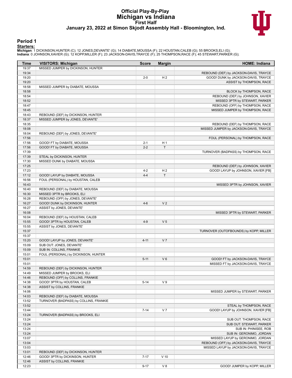#### **Official Play-By-Play Michigan vs Indiana First Half January 23, 2022 at Simon Skjodt Assembly Hall - Bloomington, Ind.**



#### **Period 1**

<mark>Starters:</mark><br>Michigan: 1 DICKINSON,HUNTER (C); 12 JONES,DEVANTE' (G); 14 DIABATE,MOUSSA (F); 22 HOUSTAN,CALEB (G); 55 BROOKS,ELI (G);<br>Indiana: 0 JOHNSON,XAVIER (G); 12 KOPP,MILLER (F); 23 JACKSON-DAVIS,TRAYCE (F); 25 THOMPS

| Time           | <b>VISITORS: Michigan</b>                                                  | <b>Score</b> | <b>Margin</b>  | <b>HOME: Indiana</b>                   |
|----------------|----------------------------------------------------------------------------|--------------|----------------|----------------------------------------|
| 19:37          | MISSED JUMPER by DICKINSON, HUNTER                                         |              |                |                                        |
| 19:34          |                                                                            |              |                | REBOUND (DEF) by JACKSON-DAVIS, TRAYCE |
| 19:20          |                                                                            | $2 - 0$      | H <sub>2</sub> | GOOD! DUNK by JACKSON-DAVIS, TRAYCE    |
| 19:20          |                                                                            |              |                | ASSIST by THOMPSON, RACE               |
| 18:58          | MISSED JUMPER by DIABATE, MOUSSA                                           |              |                |                                        |
| 18:58          |                                                                            |              |                | BLOCK by THOMPSON, RACE                |
| 18:54          |                                                                            |              |                | REBOUND (DEF) by JOHNSON, XAVIER       |
| 18:52          |                                                                            |              |                | MISSED 3PTR by STEWART, PARKER         |
| 18:47          |                                                                            |              |                | REBOUND (OFF) by THOMPSON, RACE        |
| 18:45          |                                                                            |              |                | MISSED JUMPER by THOMPSON, RACE        |
| 18:43          | REBOUND (DEF) by DICKINSON, HUNTER                                         |              |                |                                        |
| 18:37          | MISSED JUMPER by JONES, DEVANTE'                                           |              |                |                                        |
| 18:35          |                                                                            |              |                | REBOUND (DEF) by THOMPSON, RACE        |
| 18:08          |                                                                            |              |                | MISSED JUMPER by JACKSON-DAVIS, TRAYCE |
| 18:04          | REBOUND (DEF) by JONES, DEVANTE'                                           |              |                |                                        |
| 17:56<br>17:56 | GOOD! FT by DIABATE, MOUSSA                                                | $2 - 1$      | H <sub>1</sub> | FOUL (PERSONAL) by THOMPSON, RACE      |
| 17:56          | GOOD! FT by DIABATE, MOUSSA                                                | $2 - 2$      | $\mathsf{T}$   |                                        |
| 17:39          |                                                                            |              |                | TURNOVER (BADPASS) by THOMPSON, RACE   |
| 17:39          | STEAL by DICKINSON, HUNTER                                                 |              |                |                                        |
| 17:30          | MISSED DUNK by DIABATE, MOUSSA                                             |              |                |                                        |
| 17:25          |                                                                            |              |                | REBOUND (DEF) by JOHNSON, XAVIER       |
| 17:23          |                                                                            | $4 - 2$      | H <sub>2</sub> | GOOD! LAYUP by JOHNSON, XAVIER [FB]    |
| 17:12          | GOOD! LAYUP by DIABATE, MOUSSA                                             | $4 - 4$      | $\mathsf{T}$   |                                        |
| 16:56          | FOUL (PERSONAL) by HOUSTAN, CALEB                                          |              |                |                                        |
| 16:43          |                                                                            |              |                | MISSED 3PTR by JOHNSON, XAVIER         |
| 16:40          | REBOUND (DEF) by DIABATE, MOUSSA                                           |              |                |                                        |
| 16:30          | MISSED 3PTR by BROOKS, ELI                                                 |              |                |                                        |
| 16:28          | REBOUND (OFF) by JONES, DEVANTE'                                           |              |                |                                        |
| 16:27          | GOOD! DUNK by DICKINSON, HUNTER                                            | $4 - 6$      | V <sub>2</sub> |                                        |
| 16:27          | ASSIST by JONES, DEVANTE'                                                  |              |                |                                        |
| 16:08          |                                                                            |              |                | MISSED 3PTR by STEWART, PARKER         |
| 16:04          | REBOUND (DEF) by HOUSTAN, CALEB                                            |              |                |                                        |
| 15:55          | GOOD! 3PTR by HOUSTAN, CALEB                                               | $4 - 9$      | V <sub>5</sub> |                                        |
| 15:55          | ASSIST by JONES, DEVANTE'                                                  |              |                |                                        |
| 15:37          |                                                                            |              |                | TURNOVER (OUTOFBOUNDS) by KOPP, MILLER |
| 15:37          |                                                                            |              |                |                                        |
| 15:20          | GOOD! LAYUP by JONES, DEVANTE'                                             | $4 - 11$     | V <sub>7</sub> |                                        |
| 15:09          | SUB OUT: JONES, DEVANTE'                                                   |              |                |                                        |
| 15:09          | SUB IN: COLLINS, FRANKIE                                                   |              |                |                                        |
| 15:01          | FOUL (PERSONAL) by DICKINSON, HUNTER                                       |              |                |                                        |
| 15:01          |                                                                            | $5 - 11$     | $V_6$          | GOOD! FT by JACKSON-DAVIS, TRAYCE      |
| 15:01          |                                                                            |              |                | MISSED FT by JACKSON-DAVIS, TRAYCE     |
| 14:59          | REBOUND (DEF) by DICKINSON, HUNTER                                         |              |                |                                        |
| 14:49          | MISSED JUMPER by BROOKS, ELI                                               |              |                |                                        |
| 14:46          | REBOUND (OFF) by COLLINS, FRANKIE                                          |              |                |                                        |
| 14:38          | GOOD! 3PTR by HOUSTAN, CALEB                                               | $5 - 14$     | V <sub>9</sub> |                                        |
| 14:38          | ASSIST by COLLINS, FRANKIE                                                 |              |                |                                        |
| 14:06<br>14:03 |                                                                            |              |                | MISSED JUMPER by STEWART, PARKER       |
| 13:52          | REBOUND (DEF) by DIABATE, MOUSSA<br>TURNOVER (BADPASS) by COLLINS, FRANKIE |              |                |                                        |
| 13:52          |                                                                            |              |                | STEAL by THOMPSON, RACE                |
| 13:44          |                                                                            | $7 - 14$     | V <sub>7</sub> | GOOD! LAYUP by JOHNSON, XAVIER [FB]    |
| 13:24          | TURNOVER (BADPASS) by BROOKS, ELI                                          |              |                |                                        |
| 13:24          |                                                                            |              |                | SUB OUT: THOMPSON, RACE                |
| 13:24          |                                                                            |              |                | SUB OUT: STEWART, PARKER               |
| 13:24          |                                                                            |              |                | SUB IN: PHINISEE, ROB                  |
| 13:24          |                                                                            |              |                | SUB IN: GERONIMO, JORDAN               |
| 13:07          |                                                                            |              |                | MISSED LAYUP by GERONIMO, JORDAN       |
| 13:04          |                                                                            |              |                | REBOUND (OFF) by JACKSON-DAVIS, TRAYCE |
| 13:03          |                                                                            |              |                | MISSED LAYUP by JACKSON-DAVIS, TRAYCE  |
| 13:01          | REBOUND (DEF) by DICKINSON, HUNTER                                         |              |                |                                        |
| 12:46          | GOOD! 3PTR by DICKINSON, HUNTER                                            | $7 - 17$     | $V$ 10         |                                        |
| 12:46          | ASSIST by COLLINS, FRANKIE                                                 |              |                |                                        |
| 12:23          |                                                                            | $9 - 17$     | V8             | GOOD! JUMPER by KOPP, MILLER           |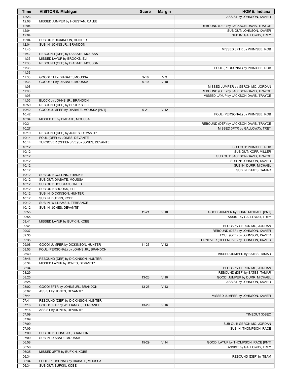| <b>Time</b>    | <b>VISITORS: Michigan</b>                         | <b>Score</b> | <b>Margin</b>   | <b>HOME: Indiana</b>                    |
|----------------|---------------------------------------------------|--------------|-----------------|-----------------------------------------|
| 12:23          |                                                   |              |                 | ASSIST by JOHNSON, XAVIER               |
| 12:08          | MISSED JUMPER by HOUSTAN, CALEB                   |              |                 |                                         |
| 12:04          |                                                   |              |                 | REBOUND (DEF) by JACKSON-DAVIS, TRAYCE  |
| 12:04          |                                                   |              |                 | SUB OUT: JOHNSON, XAVIER                |
| 12:04          |                                                   |              |                 | SUB IN: GALLOWAY, TREY                  |
| 12:04          | SUB OUT: DICKINSON, HUNTER                        |              |                 |                                         |
| 12:04          | SUB IN: JOHNS JR., BRANDON                        |              |                 |                                         |
| 11:45          |                                                   |              |                 | MISSED 3PTR by PHINISEE, ROB            |
| 11:42          | REBOUND (DEF) by DIABATE, MOUSSA                  |              |                 |                                         |
| 11:33          | MISSED LAYUP by BROOKS, ELI                       |              |                 |                                         |
| 11:33          | REBOUND (OFF) by DIABATE, MOUSSA                  |              |                 |                                         |
| 11:33          |                                                   |              |                 | FOUL (PERSONAL) by PHINISEE, ROB        |
| 11:33          |                                                   |              |                 |                                         |
| 11:33          | GOOD! FT by DIABATE, MOUSSA                       | $9 - 18$     | V <sub>9</sub>  |                                         |
| 11:33          | GOOD! FT by DIABATE, MOUSSA                       | $9 - 19$     | $V$ 10          |                                         |
| 11:08          |                                                   |              |                 | MISSED JUMPER by GERONIMO, JORDAN       |
| 11:06          |                                                   |              |                 | REBOUND (OFF) by JACKSON-DAVIS, TRAYCE  |
| 11:05          |                                                   |              |                 | MISSED LAYUP by JACKSON-DAVIS, TRAYCE   |
| 11:05          | BLOCK by JOHNS JR., BRANDON                       |              |                 |                                         |
| 10:59          | REBOUND (DEF) by BROOKS, ELI                      |              |                 |                                         |
| 10:42          | GOOD! JUMPER by DIABATE, MOUSSA [PNT]             | $9 - 21$     | V <sub>12</sub> |                                         |
| 10:42          |                                                   |              |                 | FOUL (PERSONAL) by PHINISEE, ROB        |
| 10:34          | MISSED FT by DIABATE, MOUSSA                      |              |                 |                                         |
| 10:31          |                                                   |              |                 | REBOUND (DEF) by JACKSON-DAVIS, TRAYCE  |
| 10:27          |                                                   |              |                 | MISSED 3PTR by GALLOWAY, TREY           |
| 10:19          | REBOUND (DEF) by JONES, DEVANTE'                  |              |                 |                                         |
| 10:14          | FOUL (OFF) by JONES, DEVANTE'                     |              |                 |                                         |
| 10:14          | TURNOVER (OFFENSIVE) by JONES, DEVANTE'           |              |                 |                                         |
| 10:12          |                                                   |              |                 | SUB OUT: PHINISEE, ROB                  |
| 10:12          |                                                   |              |                 | SUB OUT: KOPP, MILLER                   |
| 10:12          |                                                   |              |                 | SUB OUT: JACKSON-DAVIS, TRAYCE          |
| 10:12          |                                                   |              |                 | SUB IN: JOHNSON, XAVIER                 |
| 10:12          |                                                   |              |                 | SUB IN: DURR, MICHAEL                   |
| 10:12          |                                                   |              |                 | SUB IN: BATES, TAMAR                    |
| 10:12          | SUB OUT: COLLINS, FRANKIE                         |              |                 |                                         |
| 10:12          | SUB OUT: DIABATE, MOUSSA                          |              |                 |                                         |
| 10:12          | SUB OUT: HOUSTAN, CALEB                           |              |                 |                                         |
| 10:12<br>10:12 | SUB OUT: BROOKS, ELI                              |              |                 |                                         |
| 10:12          | SUB IN: DICKINSON, HUNTER<br>SUB IN: BUFKIN, KOBE |              |                 |                                         |
| 10:12          | SUB IN: WILLIAMS II, TERRANCE                     |              |                 |                                         |
| 10:12          | SUB IN: JONES, DEVANTE'                           |              |                 |                                         |
| 09:55          |                                                   | $11 - 21$    | $V$ 10          | GOOD! JUMPER by DURR, MICHAEL [PNT]     |
| 09:55          |                                                   |              |                 | ASSIST by GALLOWAY, TREY                |
| 09:41          | MISSED LAYUP by BUFKIN, KOBE                      |              |                 |                                         |
| 09:41          |                                                   |              |                 | BLOCK by GERONIMO, JORDAN               |
| 09:37          |                                                   |              |                 | REBOUND (DEF) by JOHNSON, XAVIER        |
| 09:35          |                                                   |              |                 | FOUL (OFF) by JOHNSON, XAVIER           |
| 09:35          |                                                   |              |                 | TURNOVER (OFFENSIVE) by JOHNSON, XAVIER |
| 09:08          | GOOD! JUMPER by DICKINSON, HUNTER                 | $11 - 23$    | $V$ 12          |                                         |
| 08:53          | FOUL (PERSONAL) by JOHNS JR., BRANDON             |              |                 |                                         |
| 08:49          |                                                   |              |                 | MISSED JUMPER by BATES, TAMAR           |
| 08:46          | REBOUND (DEF) by DICKINSON, HUNTER                |              |                 |                                         |
| 08:34          | MISSED LAYUP by JONES, DEVANTE'                   |              |                 |                                         |
| 08:34          |                                                   |              |                 | BLOCK by GERONIMO, JORDAN               |
| 08:29          |                                                   |              |                 | REBOUND (DEF) by BATES, TAMAR           |
| 08:25          |                                                   | 13-23        | $V$ 10          | GOOD! JUMPER by DURR, MICHAEL           |
| 08:25          |                                                   |              |                 | ASSIST by JOHNSON, XAVIER               |
| 08:02          | GOOD! 3PTR by JOHNS JR., BRANDON                  | 13-26        | V <sub>13</sub> |                                         |
| 08:02          | ASSIST by JONES, DEVANTE'                         |              |                 |                                         |
| 07:44          |                                                   |              |                 | MISSED JUMPER by JOHNSON, XAVIER        |
| 07:41          | REBOUND (DEF) by DICKINSON, HUNTER                |              |                 |                                         |
| 07:16          | GOOD! 3PTR by WILLIAMS II, TERRANCE               | 13-29        | V <sub>16</sub> |                                         |
| 07:16          | ASSIST by JONES, DEVANTE'                         |              |                 |                                         |
| 07:09          |                                                   |              |                 | TIMEOUT 30SEC                           |
| 07:09          |                                                   |              |                 |                                         |
| 07:09          |                                                   |              |                 | SUB OUT: GERONIMO, JORDAN               |
| 07:09          |                                                   |              |                 | SUB IN: THOMPSON, RACE                  |
| 07:09          | SUB OUT: JOHNS JR., BRANDON                       |              |                 |                                         |
| 07:09          | SUB IN: DIABATE, MOUSSA                           |              |                 |                                         |
| 06:58          |                                                   | 15-29        | V <sub>14</sub> | GOOD! LAYUP by THOMPSON, RACE [PNT]     |
| 06:58          |                                                   |              |                 | ASSIST by GALLOWAY, TREY                |
| 06:35          | MISSED 3PTR by BUFKIN, KOBE                       |              |                 |                                         |
| 06:34          |                                                   |              |                 | REBOUND (DEF) by TEAM                   |
| 06:34          | FOUL (PERSONAL) by DIABATE, MOUSSA                |              |                 |                                         |
| 06:34          | SUB OUT: BUFKIN, KOBE                             |              |                 |                                         |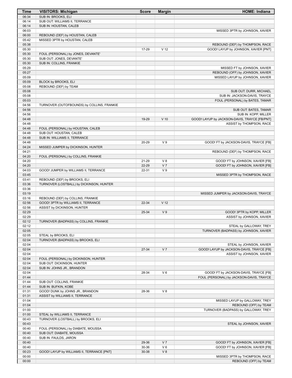| Time           | <b>VISITORS: Michigan</b>                                          | <b>Score</b> | <b>Margin</b>   | <b>HOME: Indiana</b>                                                               |
|----------------|--------------------------------------------------------------------|--------------|-----------------|------------------------------------------------------------------------------------|
| 06:34          | SUB IN: BROOKS, ELI                                                |              |                 |                                                                                    |
| 06:14          | SUB OUT: WILLIAMS II, TERRANCE                                     |              |                 |                                                                                    |
| 06:14          | SUB IN: HOUSTAN, CALEB                                             |              |                 |                                                                                    |
| 06:03          |                                                                    |              |                 | MISSED 3PTR by JOHNSON, XAVIER                                                     |
| 06:00          | REBOUND (DEF) by HOUSTAN, CALEB                                    |              |                 |                                                                                    |
| 05:42          | MISSED 3PTR by HOUSTAN, CALEB                                      |              |                 |                                                                                    |
| 05:38          |                                                                    |              |                 | REBOUND (DEF) by THOMPSON, RACE                                                    |
| 05:30          |                                                                    | 17-29        | V <sub>12</sub> | GOOD! LAYUP by JOHNSON, XAVIER [PNT]                                               |
| 05:30          | FOUL (PERSONAL) by JONES, DEVANTE'                                 |              |                 |                                                                                    |
| 05:30          | SUB OUT: JONES, DEVANTE'                                           |              |                 |                                                                                    |
| 05:30          | SUB IN: COLLINS, FRANKIE                                           |              |                 |                                                                                    |
| 05:29          |                                                                    |              |                 | MISSED FT by JOHNSON, XAVIER                                                       |
| 05:27          |                                                                    |              |                 | REBOUND (OFF) by JOHNSON, XAVIER                                                   |
| 05:09          |                                                                    |              |                 | MISSED LAYUP by JOHNSON, XAVIER                                                    |
| 05:09          | BLOCK by BROOKS, ELI                                               |              |                 |                                                                                    |
| 05:08          | REBOUND (DEF) by TEAM                                              |              |                 |                                                                                    |
| 05:08          |                                                                    |              |                 | SUB OUT: DURR, MICHAEL                                                             |
| 05:08          |                                                                    |              |                 | SUB IN: JACKSON-DAVIS, TRAYCE                                                      |
| 05:03          |                                                                    |              |                 | FOUL (PERSONAL) by BATES, TAMAR                                                    |
| 04:56          | TURNOVER (OUTOFBOUNDS) by COLLINS, FRANKIE                         |              |                 |                                                                                    |
| 04:56          |                                                                    |              |                 | SUB OUT: BATES, TAMAR                                                              |
| 04:56          |                                                                    |              |                 | SUB IN: KOPP, MILLER                                                               |
| 04:48          |                                                                    | 19-29        | $V$ 10          | GOOD! LAYUP by JACKSON-DAVIS, TRAYCE [FB/PNT]                                      |
| 04:48          |                                                                    |              |                 | ASSIST by THOMPSON, RACE                                                           |
| 04:48          | FOUL (PERSONAL) by HOUSTAN, CALEB                                  |              |                 |                                                                                    |
| 04:48          | SUB OUT: HOUSTAN, CALEB                                            |              |                 |                                                                                    |
| 04:48          | SUB IN: WILLIAMS II, TERRANCE                                      |              |                 |                                                                                    |
| 04:48          |                                                                    | 20-29        | V <sub>9</sub>  | GOOD! FT by JACKSON-DAVIS, TRAYCE [FB]                                             |
| 04:24          | MISSED JUMPER by DICKINSON, HUNTER                                 |              |                 |                                                                                    |
| 04:21          |                                                                    |              |                 | REBOUND (DEF) by THOMPSON, RACE                                                    |
| 04:20          | FOUL (PERSONAL) by COLLINS, FRANKIE                                |              |                 |                                                                                    |
| 04:20          |                                                                    | 21-29        | V8              | GOOD! FT by JOHNSON, XAVIER [FB]                                                   |
| 04:20          |                                                                    | 22-29        | V <sub>7</sub>  | GOOD! FT by JOHNSON, XAVIER [FB]                                                   |
| 04:03          | GOOD! JUMPER by WILLIAMS II, TERRANCE                              | 22-31        | V <sub>9</sub>  |                                                                                    |
| 03:45          |                                                                    |              |                 | MISSED 3PTR by THOMPSON, RACE                                                      |
| 03:41          | REBOUND (DEF) by BROOKS, ELI                                       |              |                 |                                                                                    |
| 03:36          | TURNOVER (LOSTBALL) by DICKINSON, HUNTER                           |              |                 |                                                                                    |
| 03:36          |                                                                    |              |                 |                                                                                    |
| 03:19          |                                                                    |              |                 | MISSED JUMPER by JACKSON-DAVIS, TRAYCE                                             |
| 03:16          | REBOUND (DEF) by COLLINS, FRANKIE                                  |              |                 |                                                                                    |
| 02:56          | GOOD! 3PTR by WILLIAMS II, TERRANCE                                | 22-34        | V <sub>12</sub> |                                                                                    |
| 02:56          | ASSIST by DICKINSON, HUNTER                                        |              |                 |                                                                                    |
| 02:29          |                                                                    | 25-34        | V <sub>9</sub>  | GOOD! 3PTR by KOPP, MILLER                                                         |
| 02:29          |                                                                    |              |                 | ASSIST by JOHNSON, XAVIER                                                          |
| 02:12          | TURNOVER (BADPASS) by COLLINS, FRANKIE                             |              |                 |                                                                                    |
| 02:12          |                                                                    |              |                 | STEAL by GALLOWAY, TREY                                                            |
| 02:05          |                                                                    |              |                 | TURNOVER (BADPASS) by JOHNSON, XAVIER                                              |
| 02:05<br>02:04 | STEAL by BROOKS, ELI<br>TURNOVER (BADPASS) by BROOKS, ELI          |              |                 |                                                                                    |
|                |                                                                    |              |                 |                                                                                    |
| 02:04<br>02:04 |                                                                    |              | V <sub>7</sub>  | STEAL by JOHNSON, XAVIER                                                           |
|                |                                                                    | 27-34        |                 | GOOD! LAYUP by JACKSON-DAVIS, TRAYCE [FB]                                          |
| 02:04<br>02:04 |                                                                    |              |                 | ASSIST by JOHNSON, XAVIER                                                          |
| 02:04          | FOUL (PERSONAL) by DICKINSON, HUNTER<br>SUB OUT: DICKINSON, HUNTER |              |                 |                                                                                    |
| 02:04          | SUB IN: JOHNS JR., BRANDON                                         |              |                 |                                                                                    |
| 02:04          |                                                                    | 28-34        | $V_6$           |                                                                                    |
| 01:44          |                                                                    |              |                 | GOOD! FT by JACKSON-DAVIS, TRAYCE [FB]<br>FOUL (PERSONAL) by JACKSON-DAVIS, TRAYCE |
| 01:44          | SUB OUT: COLLINS, FRANKIE                                          |              |                 |                                                                                    |
| 01:44          | SUB IN: BUFKIN, KOBE                                               |              |                 |                                                                                    |
| 01:31          | GOOD! DUNK by JOHNS JR., BRANDON                                   | 28-36        | V8              |                                                                                    |
| 01:31          | ASSIST by WILLIAMS II, TERRANCE                                    |              |                 |                                                                                    |
| 01:04          |                                                                    |              |                 | MISSED LAYUP by GALLOWAY, TREY                                                     |
| 01:04          |                                                                    |              |                 | REBOUND (OFF) by TEAM                                                              |
| 01:00          |                                                                    |              |                 | TURNOVER (BADPASS) by GALLOWAY, TREY                                               |
| 01:00          | STEAL by WILLIAMS II, TERRANCE                                     |              |                 |                                                                                    |
| 00:43          | TURNOVER (LOSTBALL) by BROOKS, ELI                                 |              |                 |                                                                                    |
| 00:43          |                                                                    |              |                 | STEAL by JOHNSON, XAVIER                                                           |
| 00:40          | FOUL (PERSONAL) by DIABATE, MOUSSA                                 |              |                 |                                                                                    |
| 00:40          | SUB OUT: DIABATE, MOUSSA                                           |              |                 |                                                                                    |
| 00:40          | SUB IN: FAULDS, JARON                                              |              |                 |                                                                                    |
| 00:40          |                                                                    | 29-36        | V <sub>7</sub>  | GOOD! FT by JOHNSON, XAVIER [FB]                                                   |
| 00:40          |                                                                    | 30-36        | $V_6$           | GOOD! FT by JOHNSON, XAVIER [FB]                                                   |
| 00:23          | GOOD! LAYUP by WILLIAMS II, TERRANCE [PNT]                         | 30-38        | V8              |                                                                                    |
| 00:00          |                                                                    |              |                 | MISSED 3PTR by THOMPSON, RACE                                                      |
| 00:00          |                                                                    |              |                 | REBOUND (OFF) by TEAM                                                              |
|                |                                                                    |              |                 |                                                                                    |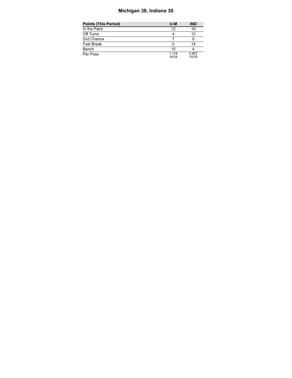# **Michigan 38, Indiana 30**

| Points (This Period) | U-M            | <b>IND</b>     |
|----------------------|----------------|----------------|
| In the Paint         | 12             | 16             |
| Off Turns            |                | 12             |
| 2nd Chance           |                |                |
| Fast Break           |                | 14             |
| Bench                | 15             |                |
| Per Poss             | 1.118<br>16/34 | 0.857<br>15/35 |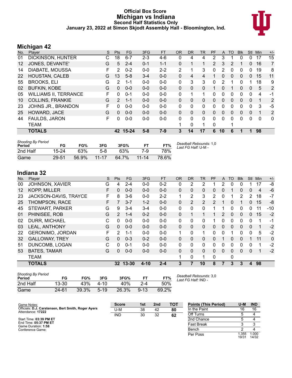#### **Official Box Score Michigan vs Indiana Second Half Statistics Only January 23, 2022 at Simon Skjodt Assembly Hall - Bloomington, Ind.**



## **Michigan 42**

| No. | Player                       | S | <b>Pts</b>    | <b>FG</b> | 3FG     | <b>FT</b> | <b>OR</b>    | <b>DR</b> | TR | PF             | $\mathsf{A}$ | <b>TO</b> | <b>Blk</b> | Stl          | Min | $+/-$        |
|-----|------------------------------|---|---------------|-----------|---------|-----------|--------------|-----------|----|----------------|--------------|-----------|------------|--------------|-----|--------------|
| 01  | DICKINSON, HUNTER            | С | 18            | $6 - 7$   | $2 - 3$ | $4-6$     | 0            | 4         | 4  | 2              | 3            |           | 0          | 0            | 17  | 15           |
| 12  | JONES, DEVANTE'              | G | 5             | $2 - 4$   | $0 - 1$ | $1 - 1$   | 0            | 1         | 1  | $\overline{2}$ | 3            | 2         | 1          | $\mathbf{0}$ | 16  | 7            |
| 14  | DIABATE, MOUSSA              | F | 2             | $0 - 2$   | $0 - 0$ | $2 - 2$   | 2            |           | 3  | 0              | 2            | 0         | 0          | 0            | 19  | 8            |
| 22  | <b>HOUSTAN, CALEB</b>        | G | 13            | $5 - 8$   | $3 - 4$ | $0 - 0$   | $\Omega$     | 4         | 4  | 1              | $\Omega$     | $\Omega$  | $\Omega$   | $\Omega$     | 15  | 11           |
| 55  | <b>BROOKS, ELI</b>           | G | $\mathcal{P}$ | $1 - 1$   | $0 - 0$ | $0 - 0$   | 0            | 3         | 3  | 0              | 2            |           | 0          |              | 18  | 9            |
| 02  | <b>BUFKIN, KOBE</b>          | G | $\Omega$      | $0 - 0$   | $0 - 0$ | $0 - 0$   | $\Omega$     | $\Omega$  | 0  |                | $\mathbf{0}$ |           | 0          | 0            | 5   | 2            |
| 05  | <b>WILLIAMS II, TERRANCE</b> | F | 0             | $0 - 1$   | $0 - 0$ | $0-0$     | 0            |           | 1  | 0              | 0            | 0         | 0          | 0            | 4   | $-1$         |
| 10  | <b>COLLINS, FRANKIE</b>      | G | $\mathcal{P}$ | $1 - 1$   | $0 - 0$ | $0 - 0$   | $\mathbf{0}$ | $\Omega$  | 0  | 0              | $\mathbf{0}$ | $\Omega$  | $\Omega$   | $\mathbf{0}$ | 1   | 2            |
| 23  | JOHNS JR., BRANDON           | F | 0             | $0 - 0$   | $0 - 0$ | $0-0$     | $\mathbf{0}$ | $\Omega$  | 0  | 0              | $\mathbf{0}$ | $\Omega$  | 0          | 0            | 3   | $-5$         |
| 25  | HOWARD, JACE                 | G | $\Omega$      | $0 - 0$   | $0 - 0$ | $0 - 0$   | $\mathbf{0}$ | $\Omega$  | 0  | 0              | $\mathbf{0}$ | $\Omega$  | $\Omega$   | $\Omega$     | 1   | 2            |
| 44  | FAULDS, JARON                | F | 0             | $0 - 0$   | $0 - 0$ | $0 - 0$   | 0            | 0         | 0  | 0              | 0            | 0         | 0          | 0            | 0   | $\mathbf{0}$ |
|     | <b>TEAM</b>                  |   |               |           |         |           |              | 0         | 1  | 0              |              |           |            |              |     |              |
|     | <b>TOTALS</b>                |   | 42            | $15 - 24$ | $5 - 8$ | $7-9$     | 3            | 14        | 17 | 6              | 10           | 6         | 1          |              | 98  |              |

| <b>Shooting By Period</b><br>Period | FG        | FG%   | 3FG       | 3FG%  | FT.       | FT%   | Deadball Rebounds: 1,0<br>Last FG Half: U-M - |
|-------------------------------------|-----------|-------|-----------|-------|-----------|-------|-----------------------------------------------|
| 2nd Half                            | $15 - 24$ | 63%   | 5-8       | 63%   | 7-9       | 78%   |                                               |
| Game                                | 29-51     | 56.9% | $11 - 17$ | 64.7% | $11 - 14$ | 78.6% |                                               |

### **Indiana 32**

| No. | Plaver                  | S | <b>Pts</b>    | FG       | 3FG      | <b>FT</b> | <b>OR</b>    | <b>DR</b>      | TR | PF       | A            | TO           | <b>BIK</b> | Stl      | Min            | $+/-$        |
|-----|-------------------------|---|---------------|----------|----------|-----------|--------------|----------------|----|----------|--------------|--------------|------------|----------|----------------|--------------|
| 00  | <b>JOHNSON, XAVIER</b>  | G | 4             | $2 - 4$  | $0 - 0$  | $0 - 2$   | 0            | 2              | 2  |          | 2            | 0            | 0          |          | 17             | -8           |
| 12  | <b>KOPP, MILLER</b>     | F | 0             | $0 - 0$  | $0 - 0$  | $0 - 0$   | $\mathbf{0}$ | $\mathbf{0}$   | 0  | 0        | 0            |              | 0          | 0        | $\overline{4}$ | $-6$         |
| 23  | JACKSON-DAVIS, TRAYCE   | F | 8             | 3-6      | $0 - 0$  | $2 - 2$   | 1            | 2              | 3  | 2        | 0            |              | 2          | 2        | 18             | $-7$         |
| 25  | <b>THOMPSON, RACE</b>   | F |               | $3 - 7$  | $1 - 2$  | $0 - 0$   | 0            | $\overline{2}$ | 2  | 2        |              | 0            |            | 0        | 15             | -8           |
| 45  | <b>STEWART, PARKER</b>  | G | 9             | $3 - 4$  | $3 - 4$  | $0 - 0$   | 0            | $\Omega$       | 0  |          |              | 0            | 0          | 0        | 11             | $-10$        |
| 01  | PHINISEE, ROB           | G | $\mathcal{P}$ | $1 - 4$  | $0 - 2$  | $0 - 0$   | $\mathbf{0}$ |                | 1  |          | 2            | $\Omega$     | 0          | 0        | 15             | $-2$         |
| 02  | <b>DURR, MICHAEL</b>    | C | 0             | $0 - 0$  | $0 - 0$  | $0 - 0$   | 0            | $\Omega$       | 0  | 1        | 0            | 0            | 0          | $\Omega$ | 1              | $-1$         |
| 03  | <b>LEAL, ANTHONY</b>    | G | 0             | $0 - 0$  | $0 - 0$  | $0 - 0$   | $\mathbf{0}$ | $\mathbf{0}$   | 0  | 0        | $\mathbf{0}$ | $\Omega$     | $\Omega$   | $\Omega$ |                | $-2$         |
| 22  | <b>GERONIMO, JORDAN</b> | F | $\mathcal{P}$ | $1 - 1$  | $0 - 0$  | $0 - 0$   | 1            | $\Omega$       | 1  | 0        | $\Omega$     |              | 0          | $\Omega$ | 5              | $-2$         |
| 32  | <b>GALLOWAY, TREY</b>   | G | 0             | $0 - 3$  | $0 - 2$  | $0 - 0$   | $\Omega$     | $\Omega$       | 0  | 0        |              | $\Omega$     | $\Omega$   |          | 11             | $\mathbf{0}$ |
| 51  | DUNCOMB, LOGAN          | C | 0             | $0 - 1$  | $0 - 0$  | $0 - 0$   | 0            | $\Omega$       | 0  | 0        | 0            | $\Omega$     | 0          | $\Omega$ |                | $-2$         |
| 53  | <b>BATES, TAMAR</b>     | G | 0             | $0 - 0$  | $0 - 0$  | $0 - 0$   | $\Omega$     | $\Omega$       | 0  | $\Omega$ | $\Omega$     | $\Omega$     | 0          | $\Omega$ |                | $-2$         |
|     | <b>TEAM</b>             |   |               |          |          |           | 1            | 0              | 1  | 0        |              | $\mathbf{0}$ |            |          |                |              |
|     | <b>TOTALS</b>           |   |               | 32 13-30 | $4 - 10$ | $2 - 4$   | 3            |                | 10 | 8        |              | 3            | 3          | 4        | 98             |              |

| <b>Shooting By Period</b><br>Period | FG        | FG%   | 3FG      | 3FG%  |          | FT%   | Deadball Rebounds: 3,0<br>Last FG Half: IND - |
|-------------------------------------|-----------|-------|----------|-------|----------|-------|-----------------------------------------------|
| 2nd Half                            | $13 - 30$ | 43%   | $4 - 10$ | 40%   | $2 - 4$  | 50%   |                                               |
| Game                                | $24 - 61$ | 39.3% | $5 - 19$ | 26.3% | $9 - 13$ | 69.2% |                                               |

Game Notes: Officials: **D.J. Carstensen, Bert Smith, Roger Ayers** Attendance: **17222** Start Time: **03:39 PM ET** End Time: **05:37 PM ET** Game Duration: **1:58** Conference Game; **Score 1st 2nd TOT** U-M 38 42 **80** IND 30 32 **62 Points (This Period) U-M IND** In the Paint 16 16 Off Turns 5 4 2nd Chance 5 4 Fast Break 3 3<br>Bench 2 4 **Bench** Per Poss 1.355<br>19/31 1.000 14/32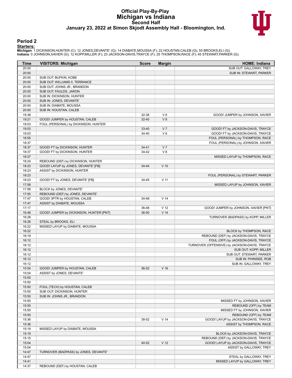#### **Official Play-By-Play Michigan vs Indiana Second Half January 23, 2022 at Simon Skjodt Assembly Hall - Bloomington, Ind.**



#### **Period 2**

<mark>Starters:</mark><br>Michigan: 1 DICKINSON,HUNTER (C); 12 JONES,DEVANTE' (G); 14 DIABATE,MOUSSA (F); 22 HOUSTAN,CALEB (G); 55 BROOKS,ELI (G);<br>Indiana: 0 JOHNSON,XAVIER (G); 12 KOPP,MILLER (F); 23 JACKSON-DAVIS,TRAYCE (F); 25 THOMPS

| Time           | <b>VISITORS: Michigan</b>               | <b>Score</b>   | <b>Margin</b>           | <b>HOME: Indiana</b>                                                   |
|----------------|-----------------------------------------|----------------|-------------------------|------------------------------------------------------------------------|
| 20:00          |                                         |                |                         | SUB OUT: GALLOWAY, TREY                                                |
| 20:00          |                                         |                |                         | SUB IN: STEWART, PARKER                                                |
| 20:00          | SUB OUT: BUFKIN, KOBE                   |                |                         |                                                                        |
| 20:00          | SUB OUT: WILLIAMS II, TERRANCE          |                |                         |                                                                        |
| 20:00          | SUB OUT: JOHNS JR., BRANDON             |                |                         |                                                                        |
| 20:00          | SUB OUT: FAULDS, JARON                  |                |                         |                                                                        |
| 20:00          | SUB IN: DICKINSON, HUNTER               |                |                         |                                                                        |
| 20:00          | SUB IN: JONES, DEVANTE'                 |                |                         |                                                                        |
| 20:00          | SUB IN: DIABATE, MOUSSA                 |                |                         |                                                                        |
| 20:00          | SUB IN: HOUSTAN, CALEB                  |                |                         |                                                                        |
| 19:38          |                                         | 32-38          | $V_6$                   | GOOD! JUMPER by JOHNSON, XAVIER                                        |
| 19:21          | GOOD! JUMPER by HOUSTAN, CALEB          | $32 - 40$      | V8                      |                                                                        |
| 19:03          | FOUL (PERSONAL) by DICKINSON, HUNTER    |                |                         |                                                                        |
| 19:03          |                                         | 33-40<br>34-40 | V <sub>7</sub><br>$V_6$ | GOOD! FT by JACKSON-DAVIS, TRAYCE                                      |
| 19:03<br>18:55 |                                         |                |                         | GOOD! FT by JACKSON-DAVIS, TRAYCE<br>FOUL (PERSONAL) by THOMPSON, RACE |
| 18:37          |                                         |                |                         | FOUL (PERSONAL) by JOHNSON, XAVIER                                     |
| 18:37          | GOOD! FT by DICKINSON, HUNTER           | $34 - 41$      | V <sub>7</sub>          |                                                                        |
| 18:37          | GOOD! FT by DICKINSON, HUNTER           | 34-42          | V8                      |                                                                        |
| 18:27          |                                         |                |                         | MISSED LAYUP by THOMPSON, RACE                                         |
| 18:24          | REBOUND (DEF) by DICKINSON, HUNTER      |                |                         |                                                                        |
| 18:23          | GOOD! LAYUP by JONES, DEVANTE' [FB]     | 34-44          | $V$ 10                  |                                                                        |
| 18:23          | ASSIST by DICKINSON, HUNTER             |                |                         |                                                                        |
| 18:23          |                                         |                |                         | FOUL (PERSONAL) by STEWART, PARKER                                     |
| 18:23          | GOOD! FT by JONES, DEVANTE' [FB]        | 34-45          | $V$ 11                  |                                                                        |
| 17:58          |                                         |                |                         | MISSED LAYUP by JOHNSON, XAVIER                                        |
| 17:58          | BLOCK by JONES, DEVANTE'                |                |                         |                                                                        |
| 17:55          | REBOUND (DEF) by JONES, DEVANTE'        |                |                         |                                                                        |
| 17:47          | GOOD! 3PTR by HOUSTAN, CALEB            | 34-48          | V <sub>14</sub>         |                                                                        |
| 17:47          | ASSIST by DIABATE, MOUSSA               |                |                         |                                                                        |
| 17:17          |                                         | 36-48          | V <sub>12</sub>         | GOOD! JUMPER by JOHNSON, XAVIER [PNT]                                  |
| 16:48          | GOOD! JUMPER by DICKINSON, HUNTER [PNT] | 36-50          | V <sub>14</sub>         |                                                                        |
| 16:28          |                                         |                |                         | TURNOVER (BADPASS) by KOPP, MILLER                                     |
| 16:28          | STEAL by BROOKS, ELI                    |                |                         |                                                                        |
| 16:22          | MISSED LAYUP by DIABATE, MOUSSA         |                |                         |                                                                        |
| 16:22          |                                         |                |                         | BLOCK by THOMPSON, RACE                                                |
| 16:19          |                                         |                |                         | REBOUND (DEF) by JACKSON-DAVIS, TRAYCE                                 |
| 16:12<br>16:12 |                                         |                |                         | FOUL (OFF) by JACKSON-DAVIS, TRAYCE                                    |
| 16:12          |                                         |                |                         | TURNOVER (OFFENSIVE) by JACKSON-DAVIS, TRAYCE<br>SUB OUT: KOPP, MILLER |
| 16:12          |                                         |                |                         | SUB OUT: STEWART, PARKER                                               |
| 16:12          |                                         |                |                         | SUB IN: PHINISEE, ROB                                                  |
| 16:12          |                                         |                |                         | SUB IN: GALLOWAY, TREY                                                 |
| 15:54          | GOOD! JUMPER by HOUSTAN, CALEB          | 36-52          | V <sub>16</sub>         |                                                                        |
| 15:54          | ASSIST by JONES, DEVANTE'               |                |                         |                                                                        |
| 15:50          |                                         |                |                         |                                                                        |
| 15:50          |                                         |                |                         |                                                                        |
| 15:50          | FOUL (TECH) by HOUSTAN, CALEB           |                |                         |                                                                        |
| 15:50          | SUB OUT: DICKINSON, HUNTER              |                |                         |                                                                        |
| 15:50          | SUB IN: JOHNS JR., BRANDON              |                |                         |                                                                        |
| 15:50          |                                         |                |                         | MISSED FT by JOHNSON, XAVIER                                           |
| 15:50          |                                         |                |                         | REBOUND (OFF) by TEAM                                                  |
| 15:50          |                                         |                |                         | MISSED FT by JOHNSON, XAVIER                                           |
| 15:50          |                                         |                |                         | REBOUND (OFF) by TEAM                                                  |
| 15:36          |                                         | 38-52          | V <sub>14</sub>         | GOOD! LAYUP by JACKSON-DAVIS, TRAYCE                                   |
| 15:36          |                                         |                |                         | ASSIST by THOMPSON, RACE                                               |
| 15:19          | MISSED LAYUP by DIABATE, MOUSSA         |                |                         |                                                                        |
| 15:19          |                                         |                |                         | BLOCK by JACKSON-DAVIS, TRAYCE                                         |
| 15:15          |                                         |                |                         | REBOUND (DEF) by JACKSON-DAVIS, TRAYCE                                 |
| 15:04          |                                         | 40-52          | V <sub>12</sub>         | GOOD! LAYUP by JACKSON-DAVIS, TRAYCE                                   |
| 15:04          |                                         |                |                         | ASSIST by GALLOWAY, TREY                                               |
| 14:47          | TURNOVER (BADPASS) by JONES, DEVANTE'   |                |                         |                                                                        |
| 14:47          |                                         |                |                         | STEAL by GALLOWAY, TREY                                                |
| 14:41          |                                         |                |                         | MISSED LAYUP by GALLOWAY, TREY                                         |
| 14:37          | REBOUND (DEF) by HOUSTAN, CALEB         |                |                         |                                                                        |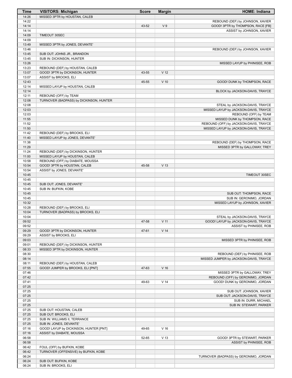| Time           | <b>VISITORS: Michigan</b>                                          | <b>Score</b> | <b>Margin</b>   | <b>HOME: Indiana</b>                                   |
|----------------|--------------------------------------------------------------------|--------------|-----------------|--------------------------------------------------------|
| 14:26          | MISSED 3PTR by HOUSTAN, CALEB                                      |              |                 |                                                        |
| 14:22          |                                                                    |              |                 | REBOUND (DEF) by JOHNSON, XAVIER                       |
| 14:14          |                                                                    | 43-52        | V <sub>9</sub>  | GOOD! 3PTR by THOMPSON, RACE [FB]                      |
| 14:14<br>14:09 | TIMEOUT 30SEC                                                      |              |                 | ASSIST by JOHNSON, XAVIER                              |
| 14:09          |                                                                    |              |                 |                                                        |
| 13:49          | MISSED 3PTR by JONES, DEVANTE'                                     |              |                 |                                                        |
| 13:46          |                                                                    |              |                 | REBOUND (DEF) by JOHNSON, XAVIER                       |
| 13:45          | SUB OUT: JOHNS JR., BRANDON                                        |              |                 |                                                        |
| 13:45          | SUB IN: DICKINSON, HUNTER                                          |              |                 |                                                        |
| 13:26          |                                                                    |              |                 | MISSED LAYUP by PHINISEE, ROB                          |
| 13:23          | REBOUND (DEF) by HOUSTAN, CALEB                                    |              |                 |                                                        |
| 13:07<br>13:07 | GOOD! 3PTR by DICKINSON, HUNTER                                    | 43-55        | V <sub>12</sub> |                                                        |
| 12:43          | ASSIST by BROOKS, ELI                                              | 45-55        | $V$ 10          | GOOD! DUNK by THOMPSON, RACE                           |
| 12:14          | MISSED LAYUP by HOUSTAN, CALEB                                     |              |                 |                                                        |
| 12:14          |                                                                    |              |                 | BLOCK by JACKSON-DAVIS, TRAYCE                         |
| 12:11          | REBOUND (OFF) by TEAM                                              |              |                 |                                                        |
| 12:08          | TURNOVER (BADPASS) by DICKINSON, HUNTER                            |              |                 |                                                        |
| 12:08          |                                                                    |              |                 | STEAL by JACKSON-DAVIS, TRAYCE                         |
| 12:03          |                                                                    |              |                 | MISSED LAYUP by JACKSON-DAVIS, TRAYCE                  |
| 12:03<br>11:55 |                                                                    |              |                 | REBOUND (OFF) by TEAM<br>MISSED DUNK by THOMPSON, RACE |
| 11:52          |                                                                    |              |                 | REBOUND (OFF) by JACKSON-DAVIS, TRAYCE                 |
| 11:50          |                                                                    |              |                 | MISSED LAYUP by JACKSON-DAVIS, TRAYCE                  |
| 11:42          | REBOUND (DEF) by BROOKS, ELI                                       |              |                 |                                                        |
| 11:40          | MISSED LAYUP by JONES, DEVANTE'                                    |              |                 |                                                        |
| 11:38          |                                                                    |              |                 | REBOUND (DEF) by THOMPSON, RACE                        |
| 11:29          |                                                                    |              |                 | MISSED 3PTR by GALLOWAY, TREY                          |
| 11:24          | REBOUND (DEF) by DICKINSON, HUNTER                                 |              |                 |                                                        |
| 11:00          | MISSED LAYUP by HOUSTAN, CALEB                                     |              |                 |                                                        |
| 10:58<br>10:54 | REBOUND (OFF) by DIABATE, MOUSSA<br>GOOD! 3PTR by HOUSTAN, CALEB   | 45-58        | V <sub>13</sub> |                                                        |
| 10:54          | ASSIST by JONES, DEVANTE'                                          |              |                 |                                                        |
| 10:45          |                                                                    |              |                 | TIMEOUT 30SEC                                          |
| 10:45          |                                                                    |              |                 |                                                        |
| 10:45          | SUB OUT: JONES, DEVANTE'                                           |              |                 |                                                        |
| 10:45          | SUB IN: BUFKIN, KOBE                                               |              |                 |                                                        |
| 10:45<br>10:45 |                                                                    |              |                 | SUB OUT: THOMPSON, RACE<br>SUB IN: GERONIMO, JORDAN    |
| 10:32          |                                                                    |              |                 | MISSED LAYUP by JOHNSON, XAVIER                        |
| 10:28          | REBOUND (DEF) by BROOKS, ELI                                       |              |                 |                                                        |
| 10:04          | TURNOVER (BADPASS) by BROOKS, ELI                                  |              |                 |                                                        |
| 10:04          |                                                                    |              |                 | STEAL by JACKSON-DAVIS, TRAYCE                         |
| 09:52          |                                                                    | 47-58        | V <sub>11</sub> | GOOD! LAYUP by JACKSON-DAVIS, TRAYCE                   |
| 09:52<br>09:29 | GOOD! 3PTR by DICKINSON, HUNTER                                    | 47-61        | V <sub>14</sub> | ASSIST by PHINISEE, ROB                                |
| 09:29          | ASSIST by BROOKS, ELI                                              |              |                 |                                                        |
| 09:03          |                                                                    |              |                 | MISSED 3PTR by PHINISEE, ROB                           |
| 09:01          | REBOUND (DEF) by DICKINSON, HUNTER                                 |              |                 |                                                        |
| 08:33          | MISSED 3PTR by DICKINSON, HUNTER                                   |              |                 |                                                        |
| 08:30          |                                                                    |              |                 | REBOUND (DEF) by PHINISEE, ROB                         |
| 08:14          |                                                                    |              |                 | MISSED JUMPER by JACKSON-DAVIS, TRAYCE                 |
| 08:11          | REBOUND (DEF) by HOUSTAN, CALEB                                    |              |                 |                                                        |
| 07:55<br>07:46 | GOOD! JUMPER by BROOKS, ELI [PNT]                                  | 47-63        | $V$ 16          | MISSED 3PTR by GALLOWAY, TREY                          |
| 07:42          |                                                                    |              |                 | REBOUND (OFF) by GERONIMO, JORDAN                      |
| 07:41          |                                                                    | 49-63        | V <sub>14</sub> | GOOD! DUNK by GERONIMO, JORDAN                         |
| 07:25          |                                                                    |              |                 |                                                        |
| 07:25          |                                                                    |              |                 | SUB OUT: JOHNSON, XAVIER                               |
| 07:25          |                                                                    |              |                 | SUB OUT: JACKSON-DAVIS, TRAYCE                         |
| 07:25          |                                                                    |              |                 | SUB IN: DURR, MICHAEL                                  |
| 07:25<br>07:25 | SUB OUT: HOUSTAN, CALEB                                            |              |                 | SUB IN: STEWART, PARKER                                |
| 07:25          | SUB OUT: BROOKS, ELI                                               |              |                 |                                                        |
| 07:25          | SUB IN: WILLIAMS II, TERRANCE                                      |              |                 |                                                        |
| 07:25          | SUB IN: JONES, DEVANTE'                                            |              |                 |                                                        |
| 07:16          | GOOD! LAYUP by DICKINSON, HUNTER [PNT]                             | 49-65        | $V$ 16          |                                                        |
| 07:16          | ASSIST by DIABATE, MOUSSA                                          |              |                 |                                                        |
| 06:58          |                                                                    | 52-65        | V <sub>13</sub> | GOOD! 3PTR by STEWART, PARKER                          |
| 06:58          |                                                                    |              |                 | ASSIST by PHINISEE, ROB                                |
| 06:42<br>06:42 | FOUL (OFF) by BUFKIN, KOBE<br>TURNOVER (OFFENSIVE) by BUFKIN, KOBE |              |                 |                                                        |
| 06:24          |                                                                    |              |                 | TURNOVER (BADPASS) by GERONIMO, JORDAN                 |
| 06:24          | SUB OUT: BUFKIN, KOBE                                              |              |                 |                                                        |
| 06:24          | SUB IN: BROOKS, ELI                                                |              |                 |                                                        |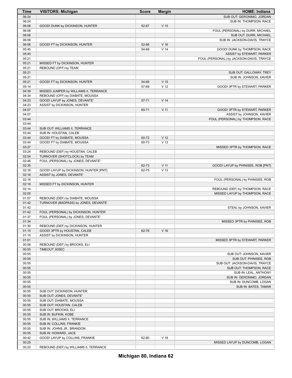| Time  | <b>VISITORS: Michigan</b>              | <b>Score</b> | <b>Margin</b>   | <b>HOME: Indiana</b>                     |
|-------|----------------------------------------|--------------|-----------------|------------------------------------------|
| 06:24 |                                        |              |                 | SUB OUT: GERONIMO, JORDAN                |
| 06:24 |                                        |              |                 | SUB IN: THOMPSON, RACE                   |
| 06:06 | GOOD! DUNK by DICKINSON, HUNTER        | 52-67        | V <sub>15</sub> |                                          |
| 06:06 |                                        |              |                 | FOUL (PERSONAL) by DURR, MICHAEL         |
| 06:06 |                                        |              |                 | SUB OUT: DURR, MICHAEL                   |
| 06:06 |                                        |              |                 | SUB IN: JACKSON-DAVIS, TRAYCE            |
| 06:06 | GOOD! FT by DICKINSON, HUNTER          | 52-68        | V <sub>16</sub> |                                          |
| 05:45 |                                        | 54-68        | V <sub>14</sub> | GOOD! DUNK by THOMPSON, RACE             |
| 05:45 |                                        |              |                 | ASSIST by STEWART, PARKER                |
| 05:21 |                                        |              |                 | FOUL (PERSONAL) by JACKSON-DAVIS, TRAYCE |
| 05:21 | MISSED FT by DICKINSON, HUNTER         |              |                 |                                          |
| 05:21 | REBOUND (OFF) by TEAM                  |              |                 |                                          |
| 05:21 |                                        |              |                 | SUB OUT: GALLOWAY, TREY                  |
| 05:21 |                                        |              |                 | SUB IN: JOHNSON, XAVIER                  |
| 05:21 | GOOD! FT by DICKINSON, HUNTER          | 54-69        | V <sub>15</sub> |                                          |
| 05:14 |                                        | 57-69        | V <sub>12</sub> | GOOD! 3PTR by STEWART, PARKER            |
| 04:39 | MISSED JUMPER by WILLIAMS II, TERRANCE |              |                 |                                          |
| 04:34 | REBOUND (OFF) by DIABATE, MOUSSA       |              |                 |                                          |
| 04:23 | GOOD! LAYUP by JONES, DEVANTE'         | 57-71        | V <sub>14</sub> |                                          |
| 04:23 | ASSIST by DICKINSON, HUNTER            |              |                 |                                          |
| 04:07 |                                        | 60-71        | V <sub>11</sub> | GOOD! 3PTR by STEWART, PARKER            |
| 04:07 |                                        |              |                 | ASSIST by JOHNSON, XAVIER                |
| 03:44 |                                        |              |                 | FOUL (PERSONAL) by THOMPSON, RACE        |
| 03:44 |                                        |              |                 |                                          |
| 03:44 | SUB OUT: WILLIAMS II, TERRANCE         |              |                 |                                          |
| 03:44 | SUB IN: HOUSTAN, CALEB                 |              |                 |                                          |
| 03:44 | GOOD! FT by DIABATE, MOUSSA            | 60-72        | V <sub>12</sub> |                                          |
| 03:44 | GOOD! FT by DIABATE, MOUSSA            | 60-73        | V <sub>13</sub> |                                          |
| 03:27 |                                        |              |                 | MISSED 3PTR by THOMPSON, RACE            |
| 03:24 | REBOUND (DEF) by HOUSTAN, CALEB        |              |                 |                                          |
| 02:54 | TURNOVER (SHOTCLOCK) by TEAM           |              |                 |                                          |
| 02:46 | FOUL (PERSONAL) by JONES, DEVANTE'     |              |                 |                                          |
| 02:35 |                                        | 62-73        | V <sub>11</sub> | GOOD! LAYUP by PHINISEE, ROB [PNT]       |
| 02:16 | GOOD! LAYUP by DICKINSON, HUNTER [PNT] | 62-75        | V <sub>13</sub> |                                          |
| 02:16 | ASSIST by JONES, DEVANTE'              |              |                 |                                          |
| 02:16 |                                        |              |                 | FOUL (PERSONAL) by PHINISEE, ROB         |
| 02:16 | MISSED FT by DICKINSON, HUNTER         |              |                 |                                          |
| 02:14 |                                        |              |                 | REBOUND (DEF) by THOMPSON, RACE          |
| 02:00 |                                        |              |                 | MISSED LAYUP by THOMPSON, RACE           |
| 01:57 | REBOUND (DEF) by DIABATE, MOUSSA       |              |                 |                                          |
| 01:42 | TURNOVER (BADPASS) by JONES, DEVANTE'  |              |                 |                                          |
| 01:42 |                                        |              |                 | STEAL by JOHNSON, XAVIER                 |
| 01:42 | FOUL (PERSONAL) by DICKINSON, HUNTER   |              |                 |                                          |
| 01:37 | FOUL (PERSONAL) by JONES, DEVANTE'     |              |                 |                                          |
| 01:34 |                                        |              |                 | MISSED 3PTR by PHINISEE, ROB             |
| 01:30 | REBOUND (DEF) by DICKINSON, HUNTER     |              |                 |                                          |
| 01:15 | GOOD! 3PTR by HOUSTAN, CALEB           | 62-78        | V <sub>16</sub> |                                          |
| 01:15 | ASSIST by DICKINSON, HUNTER            |              |                 |                                          |
| 01:01 |                                        |              |                 | MISSED 3PTR by STEWART, PARKER           |
| 00:58 | REBOUND (DEF) by BROOKS, ELI           |              |                 |                                          |
| 00:55 | TIMEOUT 30SEC                          |              |                 |                                          |
| 00:55 |                                        |              |                 | SUB OUT: JOHNSON, XAVIER                 |
| 00:55 |                                        |              |                 | SUB OUT: PHINISEE, ROB                   |
| 00:55 |                                        |              |                 | SUB OUT: JACKSON-DAVIS, TRAYCE           |
| 00:55 |                                        |              |                 | SUB OUT: THOMPSON, RACE                  |
| 00:55 |                                        |              |                 | SUB IN: LEAL, ANTHONY                    |
| 00:55 |                                        |              |                 | SUB IN: GERONIMO, JORDAN                 |
| 00:55 |                                        |              |                 | SUB IN: DUNCOMB, LOGAN                   |
| 00:55 |                                        |              |                 | SUB IN: BATES, TAMAR                     |
| 00:55 | SUB OUT: DICKINSON, HUNTER             |              |                 |                                          |
| 00:55 | SUB OUT: JONES, DEVANTE'               |              |                 |                                          |
| 00:55 | SUB OUT: DIABATE, MOUSSA               |              |                 |                                          |
| 00:55 | SUB OUT: HOUSTAN, CALEB                |              |                 |                                          |
| 00:55 | SUB OUT: BROOKS, ELI                   |              |                 |                                          |
| 00:55 | SUB IN: BUFKIN, KOBE                   |              |                 |                                          |
| 00:55 | SUB IN: WILLIAMS II, TERRANCE          |              |                 |                                          |
| 00:55 | SUB IN: COLLINS, FRANKIE               |              |                 |                                          |
| 00:55 | SUB IN: JOHNS JR., BRANDON             |              |                 |                                          |
| 00:55 | SUB IN: HOWARD, JACE                   |              |                 |                                          |
| 00:42 | GOOD! LAYUP by COLLINS, FRANKIE        | 62-80        | V <sub>18</sub> |                                          |
| 00:25 |                                        |              |                 | MISSED LAYUP by DUNCOMB, LOGAN           |
| 00:22 | REBOUND (DEF) by WILLIAMS II, TERRANCE |              |                 |                                          |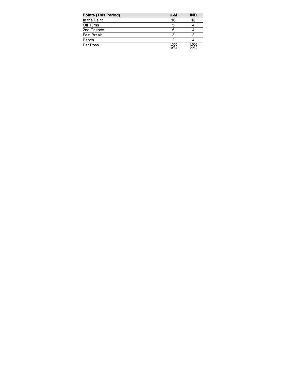| <b>Points (This Period)</b> | $U-M$          | <b>IND</b>     |
|-----------------------------|----------------|----------------|
| In the Paint                | 16             | 16             |
| Off Turns                   | 5              |                |
| 2nd Chance                  | 5              |                |
| <b>Fast Break</b>           | 3              |                |
| Bench                       | າ              |                |
| Per Poss                    | 1.355<br>19/31 | 1.000<br>14/32 |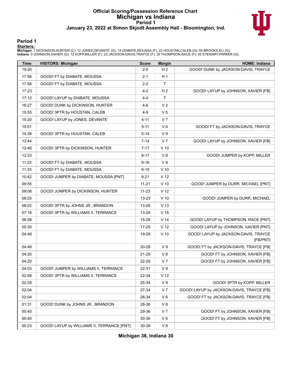### **Official Scoring/Possession Reference Chart Michigan vs Indiana Period 1 January 23, 2022 at Simon Skjodt Assembly Hall - Bloomington, Ind.**



#### **Period 1**

<mark>Starters:</mark><br>Michigan: 1 DICKINSON,HUNTER (C); 12 JONES,DEVANTE' (G); 14 DIABATE,MOUSSA (F); 22 HOUSTAN,CALEB (G); 55 BROOKS,ELI (G);<br>Indiana: 0 JOHNSON,XAVIER (G); 12 KOPP,MILLER (F); 23 JACKSON-DAVIS,TRAYCE (F); 25 THOMPS

| <b>Time</b> | <b>VISITORS: Michigan</b>                  | <b>Score</b> | <b>Margin</b>   | <b>HOME: Indiana</b>                             |
|-------------|--------------------------------------------|--------------|-----------------|--------------------------------------------------|
| 19:20       |                                            | $2 - 0$      | H <sub>2</sub>  | GOOD! DUNK by JACKSON-DAVIS, TRAYCE              |
| 17:56       | GOOD! FT by DIABATE, MOUSSA                | $2 - 1$      | H <sub>1</sub>  |                                                  |
| 17:56       | GOOD! FT by DIABATE, MOUSSA                | $2 - 2$      | T               |                                                  |
| 17:23       |                                            | 4-2          | H <sub>2</sub>  | GOOD! LAYUP by JOHNSON, XAVIER [FB]              |
| 17:12       | GOOD! LAYUP by DIABATE, MOUSSA             | $4 - 4$      | T               |                                                  |
| 16:27       | GOOD! DUNK by DICKINSON, HUNTER            | 4-6          | V <sub>2</sub>  |                                                  |
| 15:55       | GOOD! 3PTR by HOUSTAN, CALEB               | 4-9          | V <sub>5</sub>  |                                                  |
| 15:20       | GOOD! LAYUP by JONES, DEVANTE'             | $4 - 11$     | V <sub>7</sub>  |                                                  |
| 15:01       |                                            | $5 - 11$     | $V_6$           | GOOD! FT by JACKSON-DAVIS, TRAYCE                |
| 14:38       | GOOD! 3PTR by HOUSTAN, CALEB               | $5 - 14$     | V <sub>9</sub>  |                                                  |
| 13:44       |                                            | $7 - 14$     | V <sub>7</sub>  | GOOD! LAYUP by JOHNSON, XAVIER [FB]              |
| 12:46       | GOOD! 3PTR by DICKINSON, HUNTER            | $7-17$       | $V$ 10          |                                                  |
| 12:23       |                                            | $9 - 17$     | V8              | GOOD! JUMPER by KOPP, MILLER                     |
| 11:33       | GOOD! FT by DIABATE, MOUSSA                | $9-18$       | V <sub>9</sub>  |                                                  |
| 11:33       | GOOD! FT by DIABATE, MOUSSA                | $9 - 19$     | $V$ 10          |                                                  |
| 10:42       | GOOD! JUMPER by DIABATE, MOUSSA [PNT]      | $9 - 21$     | V <sub>12</sub> |                                                  |
| 09:55       |                                            | $11 - 21$    | $V$ 10          | GOOD! JUMPER by DURR, MICHAEL [PNT]              |
| 09:08       | GOOD! JUMPER by DICKINSON, HUNTER          | 11-23        | V 12            |                                                  |
| 08:25       |                                            | 13-23        | $V$ 10          | GOOD! JUMPER by DURR, MICHAEL                    |
| 08:02       | GOOD! 3PTR by JOHNS JR., BRANDON           | 13-26        | V <sub>13</sub> |                                                  |
| 07:16       | GOOD! 3PTR by WILLIAMS II, TERRANCE        | 13-29        | V <sub>16</sub> |                                                  |
| 06:58       |                                            | 15-29        | V <sub>14</sub> | GOOD! LAYUP by THOMPSON, RACE [PNT]              |
| 05:30       |                                            | 17-29        | V <sub>12</sub> | GOOD! LAYUP by JOHNSON, XAVIER [PNT]             |
| 04:48       |                                            | 19-29        | $V$ 10          | GOOD! LAYUP by JACKSON-DAVIS, TRAYCE<br>[FB/PNT] |
| 04:48       |                                            | 20-29        | V <sub>9</sub>  | GOOD! FT by JACKSON-DAVIS, TRAYCE [FB]           |
| 04:20       |                                            | 21-29        | V8              | GOOD! FT by JOHNSON, XAVIER [FB]                 |
| 04:20       |                                            | 22-29        | V <sub>7</sub>  | GOOD! FT by JOHNSON, XAVIER [FB]                 |
| 04:03       | GOOD! JUMPER by WILLIAMS II, TERRANCE      | 22-31        | V <sub>9</sub>  |                                                  |
| 02:56       | GOOD! 3PTR by WILLIAMS II, TERRANCE        | 22-34        | V <sub>12</sub> |                                                  |
| 02:29       |                                            | 25-34        | V <sub>9</sub>  | GOOD! 3PTR by KOPP, MILLER                       |
| 02:04       |                                            | 27-34        | V <sub>7</sub>  | GOOD! LAYUP by JACKSON-DAVIS, TRAYCE [FB]        |
| 02:04       |                                            | 28-34        | $V_6$           | GOOD! FT by JACKSON-DAVIS, TRAYCE [FB]           |
| 01:31       | GOOD! DUNK by JOHNS JR., BRANDON           | 28-36        | V8              |                                                  |
| 00:40       |                                            | 29-36        | V 7             | GOOD! FT by JOHNSON, XAVIER [FB]                 |
| 00:40       |                                            | 30-36        | $V_6$           | GOOD! FT by JOHNSON, XAVIER [FB]                 |
| 00:23       | GOOD! LAYUP by WILLIAMS II, TERRANCE [PNT] | 30-38        | V8              |                                                  |

**Michigan 38, Indiana 30**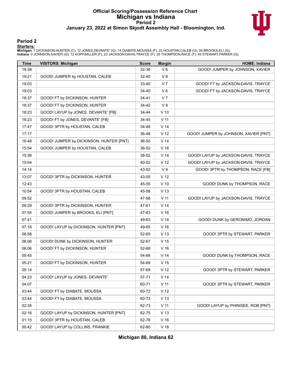### **Official Scoring/Possession Reference Chart Michigan vs Indiana Period 2 January 23, 2022 at Simon Skjodt Assembly Hall - Bloomington, Ind.**



#### **Period 2**

<mark>Starters:</mark><br>Michigan: 1 DICKINSON,HUNTER (C); 12 JONES,DEVANTE' (G); 14 DIABATE,MOUSSA (F); 22 HOUSTAN,CALEB (G); 55 BROOKS,ELI (G);<br>Indiana: 0 JOHNSON,XAVIER (G); 12 KOPP,MILLER (F); 23 JACKSON-DAVIS,TRAYCE (F); 25 THOMPS

| <b>Time</b> | <b>VISITORS: Michigan</b>               | <b>Score</b> | <b>Margin</b>   | <b>HOME: Indiana</b>                  |
|-------------|-----------------------------------------|--------------|-----------------|---------------------------------------|
| 19:38       |                                         | 32-38        | $V_6$           | GOOD! JUMPER by JOHNSON, XAVIER       |
| 19:21       | GOOD! JUMPER by HOUSTAN, CALEB          | 32-40        | V8              |                                       |
| 19:03       |                                         | 33-40        | V <sub>7</sub>  | GOOD! FT by JACKSON-DAVIS, TRAYCE     |
| 19:03       |                                         | 34-40        | $V_6$           | GOOD! FT by JACKSON-DAVIS, TRAYCE     |
| 18:37       | GOOD! FT by DICKINSON, HUNTER           | 34-41        | V <sub>7</sub>  |                                       |
| 18:37       | GOOD! FT by DICKINSON, HUNTER           | 34-42        | V8              |                                       |
| 18:23       | GOOD! LAYUP by JONES, DEVANTE' [FB]     | 34-44        | $V$ 10          |                                       |
| 18:23       | GOOD! FT by JONES, DEVANTE' [FB]        | 34-45        | V <sub>11</sub> |                                       |
| 17:47       | GOOD! 3PTR by HOUSTAN, CALEB            | 34-48        | V <sub>14</sub> |                                       |
| 17:17       |                                         | 36-48        | V 12            | GOOD! JUMPER by JOHNSON, XAVIER [PNT] |
| 16:48       | GOOD! JUMPER by DICKINSON, HUNTER [PNT] | 36-50        | V <sub>14</sub> |                                       |
| 15:54       | GOOD! JUMPER by HOUSTAN, CALEB          | 36-52        | V <sub>16</sub> |                                       |
| 15:36       |                                         | 38-52        | V <sub>14</sub> | GOOD! LAYUP by JACKSON-DAVIS, TRAYCE  |
| 15:04       |                                         | 40-52        | V 12            | GOOD! LAYUP by JACKSON-DAVIS, TRAYCE  |
| 14:14       |                                         | 43-52        | V <sub>9</sub>  | GOOD! 3PTR by THOMPSON, RACE [FB]     |
| 13:07       | GOOD! 3PTR by DICKINSON, HUNTER         | 43-55        | V <sub>12</sub> |                                       |
| 12:43       |                                         | 45-55        | $V$ 10          | GOOD! DUNK by THOMPSON, RACE          |
| 10:54       | GOOD! 3PTR by HOUSTAN, CALEB            | 45-58        | V <sub>13</sub> |                                       |
| 09:52       |                                         | 47-58        | V <sub>11</sub> | GOOD! LAYUP by JACKSON-DAVIS, TRAYCE  |
| 09:29       | GOOD! 3PTR by DICKINSON, HUNTER         | 47-61        | V <sub>14</sub> |                                       |
| 07:55       | GOOD! JUMPER by BROOKS, ELI [PNT]       | 47-63        | V <sub>16</sub> |                                       |
| 07:41       |                                         | 49-63        | V <sub>14</sub> | GOOD! DUNK by GERONIMO, JORDAN        |
| 07:16       | GOOD! LAYUP by DICKINSON, HUNTER [PNT]  | 49-65        | V <sub>16</sub> |                                       |
| 06:58       |                                         | 52-65        | V <sub>13</sub> | GOOD! 3PTR by STEWART, PARKER         |
| 06:06       | GOOD! DUNK by DICKINSON, HUNTER         | 52-67        | V <sub>15</sub> |                                       |
| 06:06       | GOOD! FT by DICKINSON, HUNTER           | 52-68        | V <sub>16</sub> |                                       |
| 05:45       |                                         | 54-68        | V <sub>14</sub> | GOOD! DUNK by THOMPSON, RACE          |
| 05:21       | GOOD! FT by DICKINSON, HUNTER           | 54-69        | V <sub>15</sub> |                                       |
| 05:14       |                                         | 57-69        | V <sub>12</sub> | GOOD! 3PTR by STEWART, PARKER         |
| 04:23       | GOOD! LAYUP by JONES, DEVANTE'          | 57-71        | V <sub>14</sub> |                                       |
| 04:07       |                                         | 60-71        | V <sub>11</sub> | GOOD! 3PTR by STEWART, PARKER         |
| 03:44       | GOOD! FT by DIABATE, MOUSSA             | 60-72        | V <sub>12</sub> |                                       |
| 03:44       | GOOD! FT by DIABATE, MOUSSA             | 60-73        | V <sub>13</sub> |                                       |
| 02:35       |                                         | 62-73        | V <sub>11</sub> | GOOD! LAYUP by PHINISEE, ROB [PNT]    |
| 02:16       | GOOD! LAYUP by DICKINSON, HUNTER [PNT]  | 62-75        | V <sub>13</sub> |                                       |
| 01:15       | GOOD! 3PTR by HOUSTAN, CALEB            | 62-78        | V <sub>16</sub> |                                       |
| 00:42       | GOOD! LAYUP by COLLINS, FRANKIE         | 62-80        | V <sub>18</sub> |                                       |

**Michigan 80, Indiana 62**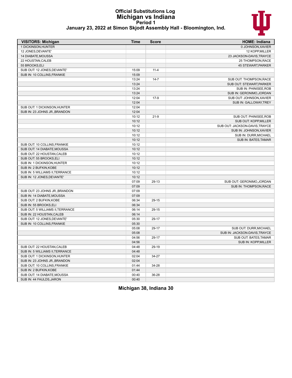#### **Official Substitutions Log Michigan vs Indiana Period 1 January 23, 2022 at Simon Skjodt Assembly Hall - Bloomington, Ind.**



| <b>VISITORS: Michigan</b>        | <b>Time</b> | <b>Score</b> | <b>HOME: Indiana</b>           |
|----------------------------------|-------------|--------------|--------------------------------|
| 1 DICKINSON, HUNTER              |             |              | 0 JOHNSON, XAVIER              |
| 12 JONES, DEVANTE'               |             |              | 12 KOPP, MILLER                |
| 14 DIABATE, MOUSSA               |             |              | 23 JACKSON-DAVIS, TRAYCE       |
| 22 HOUSTAN, CALEB                |             |              | 25 THOMPSON, RACE              |
| 55 BROOKS, ELI                   |             |              | 45 STEWART, PARKER             |
| SUB OUT: 12 JONES, DEVANTE'      | 15:09       | $11 - 4$     |                                |
| SUB IN: 10 COLLINS, FRANKIE      | 15:09       |              |                                |
|                                  | 13:24       | $14 - 7$     | SUB OUT: THOMPSON, RACE        |
|                                  | 13:24       |              | SUB OUT: STEWART, PARKER       |
|                                  | 13:24       |              | SUB IN: PHINISEE, ROB          |
|                                  | 13:24       |              | SUB IN: GERONIMO, JORDAN       |
|                                  | 12:04       | $17-9$       | SUB OUT: JOHNSON, XAVIER       |
|                                  | 12:04       |              | SUB IN: GALLOWAY, TREY         |
| SUB OUT: 1 DICKINSON, HUNTER     | 12:04       |              |                                |
| SUB IN: 23 JOHNS JR., BRANDON    | 12:04       |              |                                |
|                                  | 10:12       | $21-9$       | SUB OUT: PHINISEE, ROB         |
|                                  | 10:12       |              | SUB OUT: KOPP, MILLER          |
|                                  | 10:12       |              | SUB OUT: JACKSON-DAVIS, TRAYCE |
|                                  | 10:12       |              | SUB IN: JOHNSON, XAVIER        |
|                                  | 10:12       |              | SUB IN: DURR, MICHAEL          |
|                                  | 10:12       |              | SUB IN: BATES, TAMAR           |
| SUB OUT: 10 COLLINS, FRANKIE     | 10:12       |              |                                |
| SUB OUT: 14 DIABATE, MOUSSA      | 10:12       |              |                                |
| SUB OUT: 22 HOUSTAN, CALEB       | 10:12       |              |                                |
| SUB OUT: 55 BROOKS, ELI          | 10:12       |              |                                |
| SUB IN: 1 DICKINSON, HUNTER      | 10:12       |              |                                |
| SUB IN: 2 BUFKIN, KOBE           | 10:12       |              |                                |
| SUB IN: 5 WILLIAMS II, TERRANCE  | 10:12       |              |                                |
| SUB IN: 12 JONES, DEVANTE'       | 10:12       |              |                                |
|                                  | 07:09       | 29-13        | SUB OUT: GERONIMO, JORDAN      |
|                                  | 07:09       |              | SUB IN: THOMPSON, RACE         |
| SUB OUT: 23 JOHNS JR., BRANDON   | 07:09       |              |                                |
| SUB IN: 14 DIABATE, MOUSSA       | 07:09       |              |                                |
| SUB OUT: 2 BUFKIN, KOBE          | 06:34       | 29-15        |                                |
| SUB IN: 55 BROOKS, ELI           | 06:34       |              |                                |
| SUB OUT: 5 WILLIAMS II, TERRANCE | 06:14       | 29-15        |                                |
| SUB IN: 22 HOUSTAN, CALEB        | 06:14       |              |                                |
| SUB OUT: 12 JONES, DEVANTE'      | 05:30       | 29-17        |                                |
| SUB IN: 10 COLLINS, FRANKIE      | 05:30       |              |                                |
|                                  | 05:08       | 29-17        | SUB OUT: DURR, MICHAEL         |
|                                  | 05:08       |              | SUB IN: JACKSON-DAVIS, TRAYCE  |
|                                  |             |              |                                |
|                                  | 04:56       | 29-17        | SUB OUT: BATES, TAMAR          |
|                                  | 04:56       |              | SUB IN: KOPP, MILLER           |
| SUB OUT: 22 HOUSTAN, CALEB       | 04:48       | 29-19        |                                |
| SUB IN: 5 WILLIAMS II, TERRANCE  | 04:48       |              |                                |
| SUB OUT: 1 DICKINSON.HUNTER      | 02:04       | 34-27        |                                |
| SUB IN: 23 JOHNS JR., BRANDON    | 02:04       |              |                                |
| SUB OUT: 10 COLLINS, FRANKIE     | 01:44       | 34-28        |                                |
| SUB IN: 2 BUFKIN, KOBE           | 01:44       |              |                                |
| SUB OUT: 14 DIABATE, MOUSSA      | 00:40       | 36-28        |                                |
| SUB IN: 44 FAULDS, JARON         | 00:40       |              |                                |

**Michigan 38, Indiana 30**